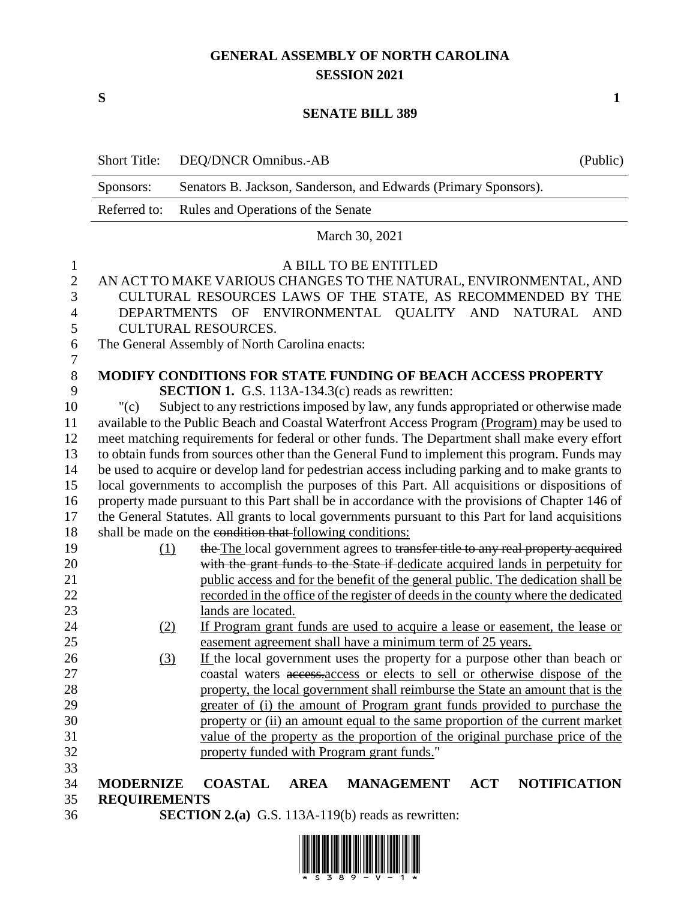# **GENERAL ASSEMBLY OF NORTH CAROLINA SESSION 2021**

**S 1**

### **SENATE BILL 389**

|                | <b>Short Title:</b>                                                                               | DEQ/DNCR Omnibus.-AB                                                                          |                                 | (Public)            |
|----------------|---------------------------------------------------------------------------------------------------|-----------------------------------------------------------------------------------------------|---------------------------------|---------------------|
|                | Sponsors:                                                                                         | Senators B. Jackson, Sanderson, and Edwards (Primary Sponsors).                               |                                 |                     |
|                | Referred to:                                                                                      | Rules and Operations of the Senate                                                            |                                 |                     |
|                |                                                                                                   |                                                                                               | March 30, 2021                  |                     |
| $\mathbf{1}$   |                                                                                                   |                                                                                               | A BILL TO BE ENTITLED           |                     |
| $\overline{2}$ |                                                                                                   | AN ACT TO MAKE VARIOUS CHANGES TO THE NATURAL, ENVIRONMENTAL, AND                             |                                 |                     |
| 3              |                                                                                                   | CULTURAL RESOURCES LAWS OF THE STATE, AS RECOMMENDED BY THE                                   |                                 |                     |
| 4              |                                                                                                   | DEPARTMENTS OF ENVIRONMENTAL QUALITY AND NATURAL AND                                          |                                 |                     |
| 5              |                                                                                                   | <b>CULTURAL RESOURCES.</b>                                                                    |                                 |                     |
| 6              |                                                                                                   | The General Assembly of North Carolina enacts:                                                |                                 |                     |
| 7              |                                                                                                   |                                                                                               |                                 |                     |
| $8\,$          |                                                                                                   | <b>MODIFY CONDITIONS FOR STATE FUNDING OF BEACH ACCESS PROPERTY</b>                           |                                 |                     |
| 9              |                                                                                                   | <b>SECTION 1.</b> G.S. 113A-134.3(c) reads as rewritten:                                      |                                 |                     |
| 10             | "(c)                                                                                              | Subject to any restrictions imposed by law, any funds appropriated or otherwise made          |                                 |                     |
| 11             |                                                                                                   | available to the Public Beach and Coastal Waterfront Access Program (Program) may be used to  |                                 |                     |
| 12             |                                                                                                   | meet matching requirements for federal or other funds. The Department shall make every effort |                                 |                     |
| 13             |                                                                                                   | to obtain funds from sources other than the General Fund to implement this program. Funds may |                                 |                     |
| 14             | be used to acquire or develop land for pedestrian access including parking and to make grants to  |                                                                                               |                                 |                     |
| 15             | local governments to accomplish the purposes of this Part. All acquisitions or dispositions of    |                                                                                               |                                 |                     |
| 16             | property made pursuant to this Part shall be in accordance with the provisions of Chapter 146 of  |                                                                                               |                                 |                     |
| 17             | the General Statutes. All grants to local governments pursuant to this Part for land acquisitions |                                                                                               |                                 |                     |
| 18             |                                                                                                   | shall be made on the condition that following conditions:                                     |                                 |                     |
| 19             | (1)                                                                                               | the The local government agrees to transfer title to any real property acquired               |                                 |                     |
| 20             |                                                                                                   | with the grant funds to the State if-dedicate acquired lands in perpetuity for                |                                 |                     |
| 21             |                                                                                                   | public access and for the benefit of the general public. The dedication shall be              |                                 |                     |
| 22             | recorded in the office of the register of deeds in the county where the dedicated                 |                                                                                               |                                 |                     |
| 23             |                                                                                                   | lands are located.                                                                            |                                 |                     |
| 24             | (2)                                                                                               | If Program grant funds are used to acquire a lease or easement, the lease or                  |                                 |                     |
| 25             |                                                                                                   | easement agreement shall have a minimum term of 25 years.                                     |                                 |                     |
| 26             | (3)                                                                                               | If the local government uses the property for a purpose other than beach or                   |                                 |                     |
| 27             |                                                                                                   | coastal waters access access or elects to sell or otherwise dispose of the                    |                                 |                     |
| 28             |                                                                                                   | property, the local government shall reimburse the State an amount that is the                |                                 |                     |
| 29             |                                                                                                   | greater of (i) the amount of Program grant funds provided to purchase the                     |                                 |                     |
| 30             |                                                                                                   | property or (ii) an amount equal to the same proportion of the current market                 |                                 |                     |
| 31             |                                                                                                   | value of the property as the proportion of the original purchase price of the                 |                                 |                     |
| 32             |                                                                                                   | property funded with Program grant funds."                                                    |                                 |                     |
| 33             |                                                                                                   |                                                                                               |                                 |                     |
| 34             | <b>MODERNIZE</b>                                                                                  | <b>COASTAL</b><br><b>AREA</b>                                                                 | <b>MANAGEMENT</b><br><b>ACT</b> | <b>NOTIFICATION</b> |
| 35             | <b>REQUIREMENTS</b>                                                                               |                                                                                               |                                 |                     |
| 36             |                                                                                                   | <b>SECTION 2.(a)</b> G.S. 113A-119(b) reads as rewritten:                                     |                                 |                     |

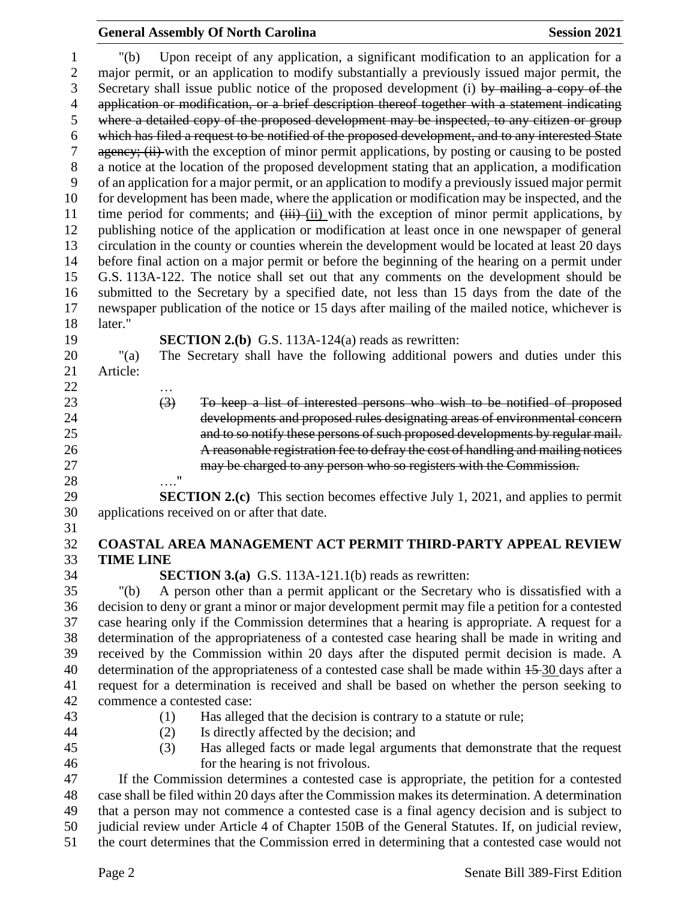### **General Assembly Of North Carolina Session 2021**

 "(b) Upon receipt of any application, a significant modification to an application for a major permit, or an application to modify substantially a previously issued major permit, the Secretary shall issue public notice of the proposed development (i) by mailing a copy of the 4 application or modification, or a brief description thereof together with a statement indicating where a detailed copy of the proposed development may be inspected, to any citizen or group which has filed a request to be notified of the proposed development, and to any interested State 7 agency; (ii) with the exception of minor permit applications, by posting or causing to be posted a notice at the location of the proposed development stating that an application, a modification of an application for a major permit, or an application to modify a previously issued major permit for development has been made, where the application or modification may be inspected, and the 11 time period for comments; and  $\overrightarrow{iii}$  (ii) with the exception of minor permit applications, by publishing notice of the application or modification at least once in one newspaper of general circulation in the county or counties wherein the development would be located at least 20 days before final action on a major permit or before the beginning of the hearing on a permit under G.S. 113A-122. The notice shall set out that any comments on the development should be submitted to the Secretary by a specified date, not less than 15 days from the date of the newspaper publication of the notice or 15 days after mailing of the mailed notice, whichever is later." **SECTION 2.(b)** G.S. 113A-124(a) reads as rewritten: "(a) The Secretary shall have the following additional powers and duties under this Article: … (3) To keep a list of interested persons who wish to be notified of proposed developments and proposed rules designating areas of environmental concern and to so notify these persons of such proposed developments by regular mail. A reasonable registration fee to defray the cost of handling and mailing notices may be charged to any person who so registers with the Commission. …." **SECTION 2.(c)** This section becomes effective July 1, 2021, and applies to permit applications received on or after that date. **COASTAL AREA MANAGEMENT ACT PERMIT THIRD-PARTY APPEAL REVIEW TIME LINE SECTION 3.(a)** G.S. 113A-121.1(b) reads as rewritten: "(b) A person other than a permit applicant or the Secretary who is dissatisfied with a decision to deny or grant a minor or major development permit may file a petition for a contested case hearing only if the Commission determines that a hearing is appropriate. A request for a determination of the appropriateness of a contested case hearing shall be made in writing and received by the Commission within 20 days after the disputed permit decision is made. A 40 determination of the appropriateness of a contested case shall be made within  $15-30$  days after a request for a determination is received and shall be based on whether the person seeking to commence a contested case: (1) Has alleged that the decision is contrary to a statute or rule; (2) Is directly affected by the decision; and (3) Has alleged facts or made legal arguments that demonstrate that the request for the hearing is not frivolous. If the Commission determines a contested case is appropriate, the petition for a contested case shall be filed within 20 days after the Commission makes its determination. A determination that a person may not commence a contested case is a final agency decision and is subject to judicial review under Article 4 of Chapter 150B of the General Statutes. If, on judicial review,

the court determines that the Commission erred in determining that a contested case would not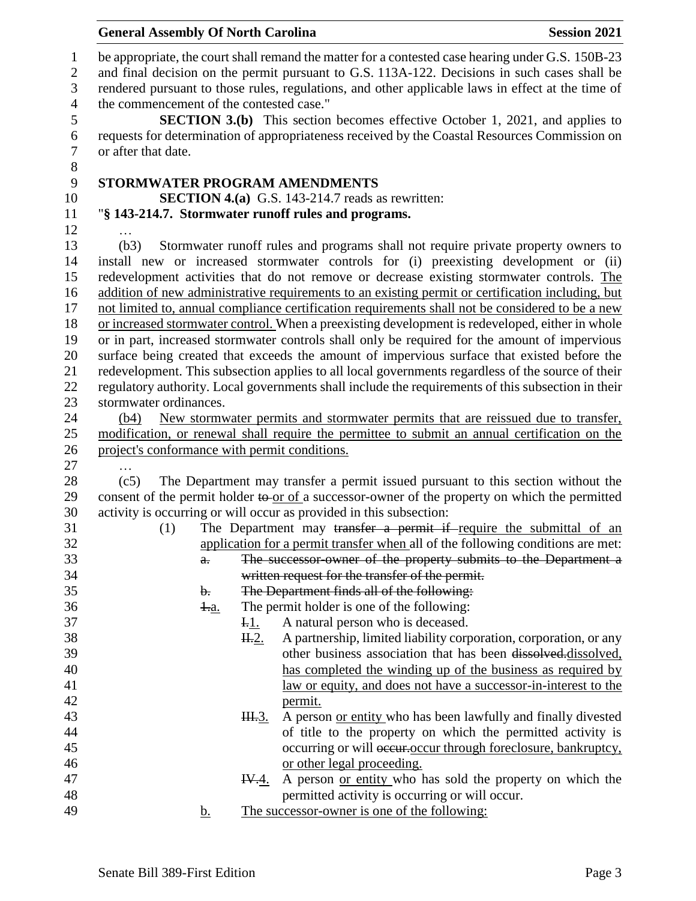| <b>General Assembly Of North Carolina</b>     |                                                                                                                                                                                                   | <b>Session 2021</b>                                                          |
|-----------------------------------------------|---------------------------------------------------------------------------------------------------------------------------------------------------------------------------------------------------|------------------------------------------------------------------------------|
|                                               | be appropriate, the court shall remand the matter for a contested case hearing under G.S. 150B-23<br>and final decision on the permit pursuant to G.S. 113A-122. Decisions in such cases shall be |                                                                              |
|                                               | rendered pursuant to those rules, regulations, and other applicable laws in effect at the time of                                                                                                 |                                                                              |
| the commencement of the contested case."      | <b>SECTION 3.(b)</b> This section becomes effective October 1, 2021, and applies to                                                                                                               |                                                                              |
|                                               | requests for determination of appropriateness received by the Coastal Resources Commission on                                                                                                     |                                                                              |
| or after that date.                           |                                                                                                                                                                                                   |                                                                              |
|                                               | STORMWATER PROGRAM AMENDMENTS                                                                                                                                                                     |                                                                              |
|                                               | <b>SECTION 4.(a)</b> G.S. 143-214.7 reads as rewritten:                                                                                                                                           |                                                                              |
|                                               | "§ 143-214.7. Stormwater runoff rules and programs.                                                                                                                                               |                                                                              |
|                                               |                                                                                                                                                                                                   |                                                                              |
| (b3)                                          | Stormwater runoff rules and programs shall not require private property owners to                                                                                                                 |                                                                              |
|                                               | install new or increased stormwater controls for (i) preexisting development or (ii)<br>redevelopment activities that do not remove or decrease existing stormwater controls. The                 |                                                                              |
|                                               | addition of new administrative requirements to an existing permit or certification including, but                                                                                                 |                                                                              |
|                                               | not limited to, annual compliance certification requirements shall not be considered to be a new                                                                                                  |                                                                              |
|                                               | or increased stormwater control. When a preexisting development is redeveloped, either in whole                                                                                                   |                                                                              |
|                                               | or in part, increased stormwater controls shall only be required for the amount of impervious                                                                                                     |                                                                              |
|                                               | surface being created that exceeds the amount of impervious surface that existed before the                                                                                                       |                                                                              |
|                                               | redevelopment. This subsection applies to all local governments regardless of the source of their                                                                                                 |                                                                              |
|                                               | regulatory authority. Local governments shall include the requirements of this subsection in their                                                                                                |                                                                              |
| stormwater ordinances.                        |                                                                                                                                                                                                   |                                                                              |
| (b4)                                          | New stormwater permits and stormwater permits that are reissued due to transfer,                                                                                                                  |                                                                              |
|                                               | modification, or renewal shall require the permittee to submit an annual certification on the                                                                                                     |                                                                              |
| project's conformance with permit conditions. |                                                                                                                                                                                                   |                                                                              |
| (c5)                                          | The Department may transfer a permit issued pursuant to this section without the                                                                                                                  |                                                                              |
|                                               | consent of the permit holder to or of a successor-owner of the property on which the permitted                                                                                                    |                                                                              |
|                                               | activity is occurring or will occur as provided in this subsection:                                                                                                                               |                                                                              |
| (1)                                           | The Department may transfer a permit if require the submittal of an                                                                                                                               |                                                                              |
|                                               | application for a permit transfer when all of the following conditions are met:                                                                                                                   |                                                                              |
| $a$ .                                         | The successor owner of the property submits to the Department a                                                                                                                                   |                                                                              |
|                                               | written request for the transfer of the permit.                                                                                                                                                   |                                                                              |
| b.                                            | The Department finds all of the following:                                                                                                                                                        |                                                                              |
| <u> 4.a.</u>                                  | The permit holder is one of the following:                                                                                                                                                        |                                                                              |
|                                               | A natural person who is deceased.<br><u>I.l.</u>                                                                                                                                                  |                                                                              |
|                                               | H.2.                                                                                                                                                                                              | A partnership, limited liability corporation, corporation, or any            |
|                                               |                                                                                                                                                                                                   | other business association that has been dissolved.dissolved,                |
|                                               |                                                                                                                                                                                                   | has completed the winding up of the business as required by                  |
|                                               |                                                                                                                                                                                                   | law or equity, and does not have a successor-in-interest to the              |
|                                               | permit.<br>H.3.                                                                                                                                                                                   | A person or entity who has been lawfully and finally divested                |
|                                               |                                                                                                                                                                                                   | of title to the property on which the permitted activity is                  |
|                                               |                                                                                                                                                                                                   | occurring or will occurring or will be even through foreclosure, bankruptcy, |
|                                               | or other legal proceeding.                                                                                                                                                                        |                                                                              |
|                                               | I <del>V.</del> 4.                                                                                                                                                                                | A person or entity who has sold the property on which the                    |
|                                               | permitted activity is occurring or will occur.                                                                                                                                                    |                                                                              |
| b.                                            | The successor-owner is one of the following:                                                                                                                                                      |                                                                              |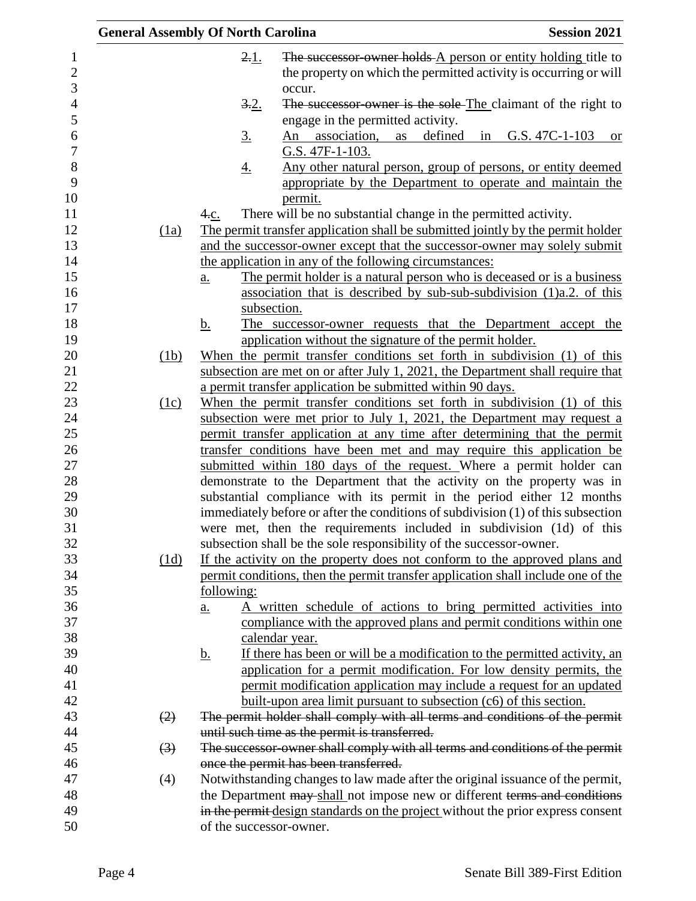|                  | <b>General Assembly Of North Carolina</b>                                                                                                                  | <b>Session 2021</b> |
|------------------|------------------------------------------------------------------------------------------------------------------------------------------------------------|---------------------|
|                  | The successor owner holds A person or entity holding title to<br>2.1.                                                                                      |                     |
|                  | the property on which the permitted activity is occurring or will                                                                                          |                     |
|                  | occur.                                                                                                                                                     |                     |
|                  | 3.2.<br>The successor-owner is the sole-The claimant of the right to                                                                                       |                     |
|                  | engage in the permitted activity.                                                                                                                          |                     |
|                  | defined in G.S. $47C-1-103$<br>An association,<br>$\underline{3}$ .<br>as                                                                                  | <b>or</b>           |
|                  | G.S. 47F-1-103.                                                                                                                                            |                     |
|                  | <u>Any other natural person, group of persons, or entity deemed</u><br><u>4.</u>                                                                           |                     |
|                  | appropriate by the Department to operate and maintain the                                                                                                  |                     |
|                  | permit.                                                                                                                                                    |                     |
|                  | There will be no substantial change in the permitted activity.<br>4.c.                                                                                     |                     |
| (1a)             | The permit transfer application shall be submitted jointly by the permit holder                                                                            |                     |
|                  | and the successor-owner except that the successor-owner may solely submit                                                                                  |                     |
|                  | the application in any of the following circumstances:                                                                                                     |                     |
|                  | The permit holder is a natural person who is deceased or is a business<br>$\underline{a}$ .                                                                |                     |
|                  | association that is described by sub-sub-subdivision (1)a.2. of this                                                                                       |                     |
|                  | subsection.                                                                                                                                                |                     |
|                  | <u>b.</u><br>The successor-owner requests that the Department accept the                                                                                   |                     |
|                  | application without the signature of the permit holder.                                                                                                    |                     |
| (1b)             | When the permit transfer conditions set forth in subdivision (1) of this<br>subsection are met on or after July 1, 2021, the Department shall require that |                     |
|                  | a permit transfer application be submitted within 90 days.                                                                                                 |                     |
| (1c)             | When the permit transfer conditions set forth in subdivision (1) of this                                                                                   |                     |
|                  | subsection were met prior to July 1, 2021, the Department may request a                                                                                    |                     |
|                  | permit transfer application at any time after determining that the permit                                                                                  |                     |
|                  | transfer conditions have been met and may require this application be                                                                                      |                     |
|                  | submitted within 180 days of the request. Where a permit holder can                                                                                        |                     |
|                  | demonstrate to the Department that the activity on the property was in                                                                                     |                     |
|                  | substantial compliance with its permit in the period either 12 months                                                                                      |                     |
|                  | immediately before or after the conditions of subdivision (1) of this subsection                                                                           |                     |
|                  | were met, then the requirements included in subdivision (1d) of this                                                                                       |                     |
|                  | subsection shall be the sole responsibility of the successor-owner.                                                                                        |                     |
| (1d)             | If the activity on the property does not conform to the approved plans and                                                                                 |                     |
|                  | permit conditions, then the permit transfer application shall include one of the                                                                           |                     |
|                  | following:                                                                                                                                                 |                     |
|                  | A written schedule of actions to bring permitted activities into<br>$\underline{a}$ .                                                                      |                     |
|                  | compliance with the approved plans and permit conditions within one                                                                                        |                     |
|                  | calendar year.                                                                                                                                             |                     |
|                  | If there has been or will be a modification to the permitted activity, an<br><u>b.</u>                                                                     |                     |
|                  | application for a permit modification. For low density permits, the                                                                                        |                     |
|                  | permit modification application may include a request for an updated                                                                                       |                     |
|                  | built-upon area limit pursuant to subsection (c6) of this section.                                                                                         |                     |
| (2)              | The permit holder shall comply with all terms and conditions of the permit                                                                                 |                     |
|                  | until such time as the permit is transferred.                                                                                                              |                     |
| $\left(3\right)$ | The successor-owner shall comply with all terms and conditions of the permit<br>once the permit has been transferred.                                      |                     |
| (4)              | Notwithstanding changes to law made after the original issuance of the permit,                                                                             |                     |
|                  | the Department may shall not impose new or different terms and conditions                                                                                  |                     |
|                  | in the permit design standards on the project without the prior express consent                                                                            |                     |
|                  | of the successor-owner.                                                                                                                                    |                     |
|                  |                                                                                                                                                            |                     |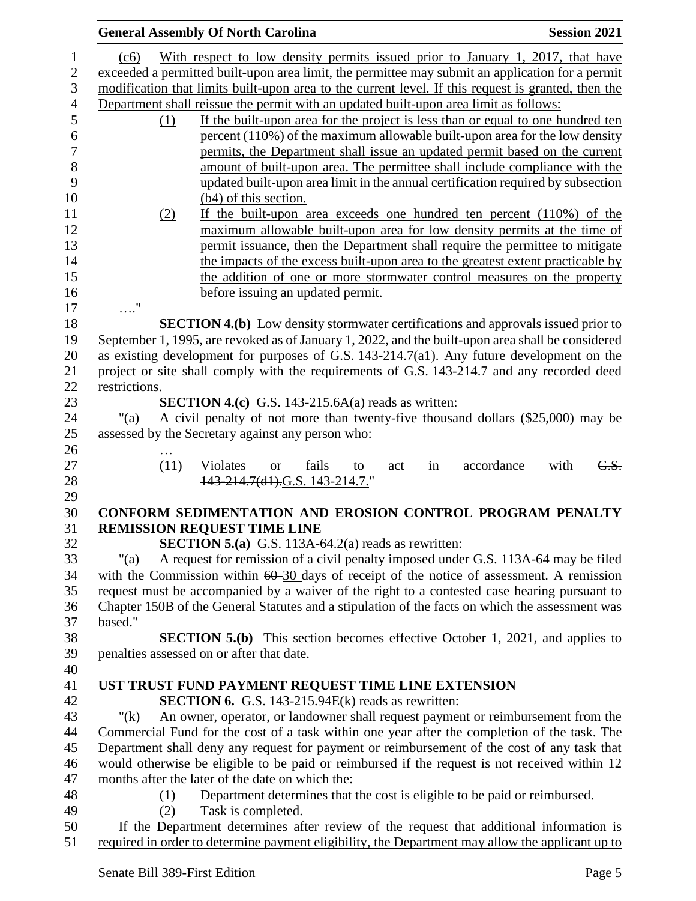|                  | <b>General Assembly Of North Carolina</b>                                                                     | <b>Session 2021</b> |  |
|------------------|---------------------------------------------------------------------------------------------------------------|---------------------|--|
| $\mathbf 1$      | With respect to low density permits issued prior to January 1, 2017, that have<br>(c6)                        |                     |  |
| $\overline{2}$   | exceeded a permitted built-upon area limit, the permittee may submit an application for a permit              |                     |  |
| 3                | modification that limits built-upon area to the current level. If this request is granted, then the           |                     |  |
| $\overline{4}$   | Department shall reissue the permit with an updated built-upon area limit as follows:                         |                     |  |
| 5                | If the built-upon area for the project is less than or equal to one hundred ten<br>(1)                        |                     |  |
| 6                | percent (110%) of the maximum allowable built-upon area for the low density                                   |                     |  |
| $\boldsymbol{7}$ | permits, the Department shall issue an updated permit based on the current                                    |                     |  |
| 8                | amount of built-upon area. The permittee shall include compliance with the                                    |                     |  |
| 9                | updated built-upon area limit in the annual certification required by subsection                              |                     |  |
| 10               | $(b4)$ of this section.                                                                                       |                     |  |
| 11               | If the built-upon area exceeds one hundred ten percent $(110\%)$ of the<br>(2)                                |                     |  |
| 12               | maximum allowable built-upon area for low density permits at the time of                                      |                     |  |
| 13               | permit issuance, then the Department shall require the permittee to mitigate                                  |                     |  |
| 14               | the impacts of the excess built-upon area to the greatest extent practicable by                               |                     |  |
| 15               | the addition of one or more stormwater control measures on the property                                       |                     |  |
| 16               | before issuing an updated permit.                                                                             |                     |  |
| 17               | $\ldots$ "                                                                                                    |                     |  |
| 18               | <b>SECTION 4.(b)</b> Low density stormwater certifications and approvals issued prior to                      |                     |  |
| 19               | September 1, 1995, are revoked as of January 1, 2022, and the built-upon area shall be considered             |                     |  |
| 20               | as existing development for purposes of G.S. $143-214.7(a1)$ . Any future development on the                  |                     |  |
| 21               | project or site shall comply with the requirements of G.S. 143-214.7 and any recorded deed                    |                     |  |
| 22               | restrictions.                                                                                                 |                     |  |
| 23               | <b>SECTION 4.(c)</b> G.S. 143-215.6A(a) reads as written:                                                     |                     |  |
| 24               | A civil penalty of not more than twenty-five thousand dollars (\$25,000) may be<br>"(a)                       |                     |  |
| 25               | assessed by the Secretary against any person who:                                                             |                     |  |
| 26               |                                                                                                               |                     |  |
| 27<br>28         | (11)<br>accordance<br>Violates<br>fails<br>in<br>act<br><sub>or</sub><br>to<br>143-214.7(d1).G.S. 143-214.7." | with<br>G.S.        |  |
| 29               |                                                                                                               |                     |  |
| 30               | CONFORM SEDIMENTATION AND EROSION CONTROL PROGRAM PENALTY                                                     |                     |  |
| 31               | <b>REMISSION REQUEST TIME LINE</b>                                                                            |                     |  |
| 32               | <b>SECTION 5.(a)</b> G.S. 113A-64.2(a) reads as rewritten:                                                    |                     |  |
| 33               | A request for remission of a civil penalty imposed under G.S. 113A-64 may be filed<br>"(a)                    |                     |  |
| 34               | with the Commission within $60-30$ days of receipt of the notice of assessment. A remission                   |                     |  |
| 35               | request must be accompanied by a waiver of the right to a contested case hearing pursuant to                  |                     |  |
| 36               | Chapter 150B of the General Statutes and a stipulation of the facts on which the assessment was               |                     |  |
| 37               | based."                                                                                                       |                     |  |
| 38               | <b>SECTION 5.(b)</b> This section becomes effective October 1, 2021, and applies to                           |                     |  |
| 39               | penalties assessed on or after that date.                                                                     |                     |  |
| 40               |                                                                                                               |                     |  |
| 41               | UST TRUST FUND PAYMENT REQUEST TIME LINE EXTENSION                                                            |                     |  |
| 42               | <b>SECTION 6.</b> G.S. 143-215.94 $E(k)$ reads as rewritten:                                                  |                     |  |
| 43               | An owner, operator, or landowner shall request payment or reimbursement from the<br>" $(k)$                   |                     |  |
| 44               | Commercial Fund for the cost of a task within one year after the completion of the task. The                  |                     |  |
| 45               | Department shall deny any request for payment or reimbursement of the cost of any task that                   |                     |  |
| 46               | would otherwise be eligible to be paid or reimbursed if the request is not received within 12                 |                     |  |
| 47               | months after the later of the date on which the:                                                              |                     |  |
| 48               | Department determines that the cost is eligible to be paid or reimbursed.<br>(1)                              |                     |  |
| 49               | Task is completed.<br>(2)                                                                                     |                     |  |
| 50               | If the Department determines after review of the request that additional information is                       |                     |  |
| 51               | required in order to determine payment eligibility, the Department may allow the applicant up to              |                     |  |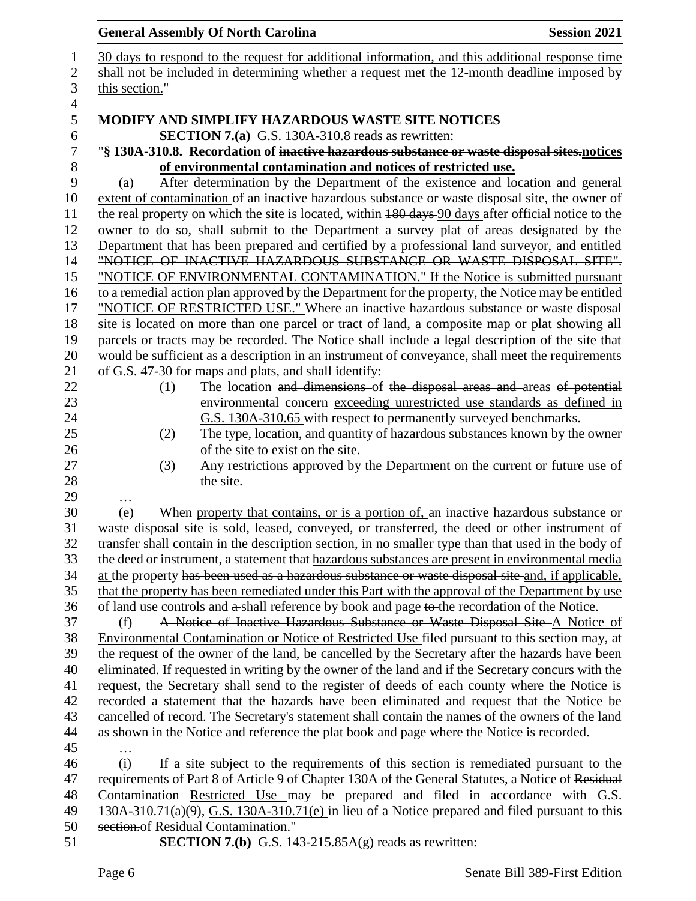## **General Assembly Of North Carolina Session 2021**  30 days to respond to the request for additional information, and this additional response time 2 shall not be included in determining whether a request met the 12-month deadline imposed by this section." **MODIFY AND SIMPLIFY HAZARDOUS WASTE SITE NOTICES SECTION 7.(a)** G.S. 130A-310.8 reads as rewritten: "**§ 130A-310.8. Recordation of inactive hazardous substance or waste disposal sites.notices**  8 **of environmental contamination and notices of restricted use.**<br>
9 (a) After determination by the Department of the existence and low (a) After determination by the Department of the existence and location and general extent of contamination of an inactive hazardous substance or waste disposal site, the owner of 11 the real property on which the site is located, within 180 days 90 days after official notice to the owner to do so, shall submit to the Department a survey plat of areas designated by the Department that has been prepared and certified by a professional land surveyor, and entitled "NOTICE OF INACTIVE HAZARDOUS SUBSTANCE OR WASTE DISPOSAL SITE". "NOTICE OF ENVIRONMENTAL CONTAMINATION." If the Notice is submitted pursuant 16 to a remedial action plan approved by the Department for the property, the Notice may be entitled "NOTICE OF RESTRICTED USE." Where an inactive hazardous substance or waste disposal site is located on more than one parcel or tract of land, a composite map or plat showing all parcels or tracts may be recorded. The Notice shall include a legal description of the site that would be sufficient as a description in an instrument of conveyance, shall meet the requirements of G.S. 47-30 for maps and plats, and shall identify: 22 (1) The location and dimensions of the disposal areas and areas of potential environmental concern exceeding unrestricted use standards as defined in G.S. 130A-310.65 with respect to permanently surveyed benchmarks. 25 (2) The type, location, and quantity of hazardous substances known by the owner 26 of the site to exist on the site. (3) Any restrictions approved by the Department on the current or future use of 28 the site. … (e) When property that contains, or is a portion of, an inactive hazardous substance or waste disposal site is sold, leased, conveyed, or transferred, the deed or other instrument of transfer shall contain in the description section, in no smaller type than that used in the body of the deed or instrument, a statement that hazardous substances are present in environmental media 34 at the property has been used as a hazardous substance or waste disposal site and, if applicable, that the property has been remediated under this Part with the approval of the Department by use of land use controls and  $a$ -shall reference by book and page to the recordation of the Notice. (f) A Notice of Inactive Hazardous Substance or Waste Disposal Site A Notice of Environmental Contamination or Notice of Restricted Use filed pursuant to this section may, at the request of the owner of the land, be cancelled by the Secretary after the hazards have been eliminated. If requested in writing by the owner of the land and if the Secretary concurs with the request, the Secretary shall send to the register of deeds of each county where the Notice is recorded a statement that the hazards have been eliminated and request that the Notice be cancelled of record. The Secretary's statement shall contain the names of the owners of the land as shown in the Notice and reference the plat book and page where the Notice is recorded. … (i) If a site subject to the requirements of this section is remediated pursuant to the 47 requirements of Part 8 of Article 9 of Chapter 130A of the General Statutes, a Notice of Residual 48 Contamination Restricted Use may be prepared and filed in accordance with G.S. 49 130A-310.71(a)(9), G.S. 130A-310.71(e) in lieu of a Notice prepared and filed pursuant to this section.of Residual Contamination."

**SECTION 7.(b)** G.S. 143-215.85A(g) reads as rewritten: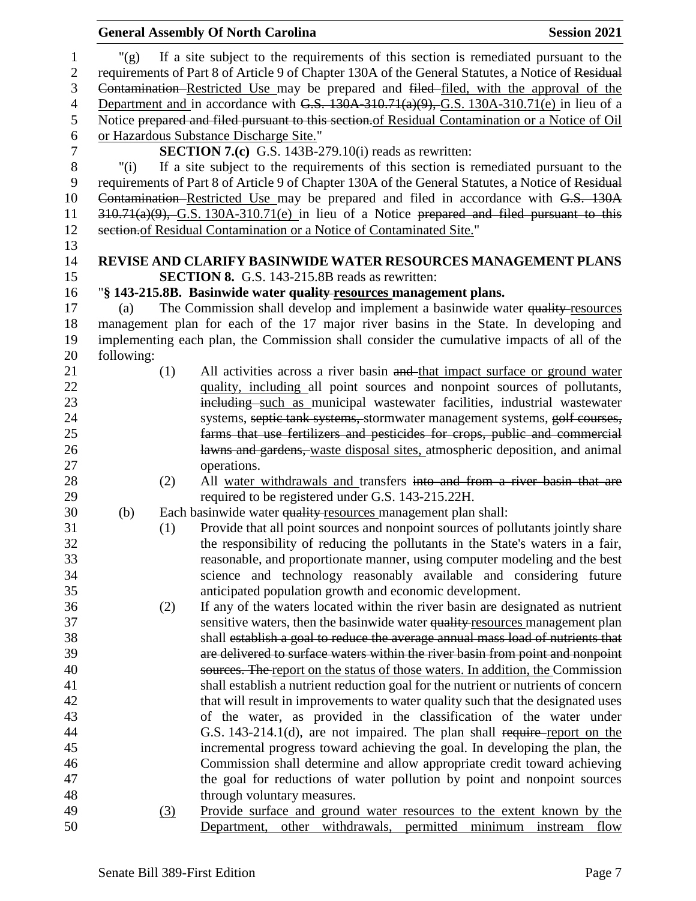|                  |            |     | <b>General Assembly Of North Carolina</b>                                                                                                                             | <b>Session 2021</b> |
|------------------|------------|-----|-----------------------------------------------------------------------------------------------------------------------------------------------------------------------|---------------------|
| $\mathbf{1}$     | " $(g)$    |     | If a site subject to the requirements of this section is remediated pursuant to the                                                                                   |                     |
| $\boldsymbol{2}$ |            |     | requirements of Part 8 of Article 9 of Chapter 130A of the General Statutes, a Notice of Residual                                                                     |                     |
| 3                |            |     | Contamination Restricted Use may be prepared and filed-filed, with the approval of the                                                                                |                     |
| $\overline{4}$   |            |     | Department and in accordance with G.S. $130A-310.71(a)(9)$ , G.S. $130A-310.71(e)$ in lieu of a                                                                       |                     |
| 5                |            |     | Notice prepared and filed pursuant to this section. of Residual Contamination or a Notice of Oil                                                                      |                     |
| 6                |            |     | or Hazardous Substance Discharge Site."                                                                                                                               |                     |
| $\tau$           |            |     | <b>SECTION 7.(c)</b> G.S. 143B-279.10(i) reads as rewritten:                                                                                                          |                     |
| $8\,$            | "(i)       |     | If a site subject to the requirements of this section is remediated pursuant to the                                                                                   |                     |
| 9                |            |     | requirements of Part 8 of Article 9 of Chapter 130A of the General Statutes, a Notice of Residual                                                                     |                     |
| 10               |            |     | Contamination Restricted Use may be prepared and filed in accordance with G.S. 130A                                                                                   |                     |
| 11               |            |     | $310.71(a)(9)$ , G.S. 130A-310.71(e) in lieu of a Notice prepared and filed pursuant to this                                                                          |                     |
| 12               |            |     | section of Residual Contamination or a Notice of Contaminated Site."                                                                                                  |                     |
| 13               |            |     |                                                                                                                                                                       |                     |
| 14               |            |     | REVISE AND CLARIFY BASINWIDE WATER RESOURCES MANAGEMENT PLANS                                                                                                         |                     |
| 15               |            |     | <b>SECTION 8.</b> G.S. 143-215.8B reads as rewritten:                                                                                                                 |                     |
| 16               |            |     | "§ 143-215.8B. Basinwide water quality-resources management plans.                                                                                                    |                     |
| 17               | (a)        |     | The Commission shall develop and implement a basinwide water quality-resources                                                                                        |                     |
| 18               |            |     | management plan for each of the 17 major river basins in the State. In developing and                                                                                 |                     |
| 19               |            |     | implementing each plan, the Commission shall consider the cumulative impacts of all of the                                                                            |                     |
| 20<br>21         | following: | (1) | All activities across a river basin and that impact surface or ground water                                                                                           |                     |
| 22               |            |     | quality, including all point sources and nonpoint sources of pollutants,                                                                                              |                     |
| 23               |            |     | including such as municipal wastewater facilities, industrial wastewater                                                                                              |                     |
| 24               |            |     | systems, septic tank systems, stormwater management systems, golf courses,                                                                                            |                     |
| 25               |            |     | farms that use fertilizers and pesticides for crops, public and commercial                                                                                            |                     |
| 26               |            |     | lawns and gardens, waste disposal sites, atmospheric deposition, and animal                                                                                           |                     |
| 27               |            |     | operations.                                                                                                                                                           |                     |
| 28               |            | (2) | All water withdrawals and transfers into and from a river basin that are                                                                                              |                     |
| 29               |            |     | required to be registered under G.S. 143-215.22H.                                                                                                                     |                     |
| 30               | (b)        |     | Each basinwide water quality resources management plan shall:                                                                                                         |                     |
| 31               |            | (1) | Provide that all point sources and nonpoint sources of pollutants jointly share                                                                                       |                     |
| 32               |            |     | the responsibility of reducing the pollutants in the State's waters in a fair,                                                                                        |                     |
| 33               |            |     | reasonable, and proportionate manner, using computer modeling and the best                                                                                            |                     |
| 34               |            |     | science and technology reasonably available and considering future                                                                                                    |                     |
| 35               |            |     | anticipated population growth and economic development.                                                                                                               |                     |
| 36               |            | (2) | If any of the waters located within the river basin are designated as nutrient                                                                                        |                     |
| 37               |            |     | sensitive waters, then the basinwide water quality resources management plan                                                                                          |                     |
| 38               |            |     | shall establish a goal to reduce the average annual mass load of nutrients that                                                                                       |                     |
| 39               |            |     | are delivered to surface waters within the river basin from point and nonpoint                                                                                        |                     |
| 40               |            |     | sources. The report on the status of those waters. In addition, the Commission                                                                                        |                     |
| 41<br>42         |            |     | shall establish a nutrient reduction goal for the nutrient or nutrients of concern<br>that will result in improvements to water quality such that the designated uses |                     |
| 43               |            |     | of the water, as provided in the classification of the water under                                                                                                    |                     |
| 44               |            |     | G.S. 143-214.1(d), are not impaired. The plan shall require-report on the                                                                                             |                     |
| 45               |            |     | incremental progress toward achieving the goal. In developing the plan, the                                                                                           |                     |
| 46               |            |     | Commission shall determine and allow appropriate credit toward achieving                                                                                              |                     |
| 47               |            |     | the goal for reductions of water pollution by point and nonpoint sources                                                                                              |                     |
| 48               |            |     | through voluntary measures.                                                                                                                                           |                     |
| 49               |            | (3) | Provide surface and ground water resources to the extent known by the                                                                                                 |                     |
| 50               |            |     | Department, other withdrawals, permitted<br>minimum                                                                                                                   | instream<br>flow    |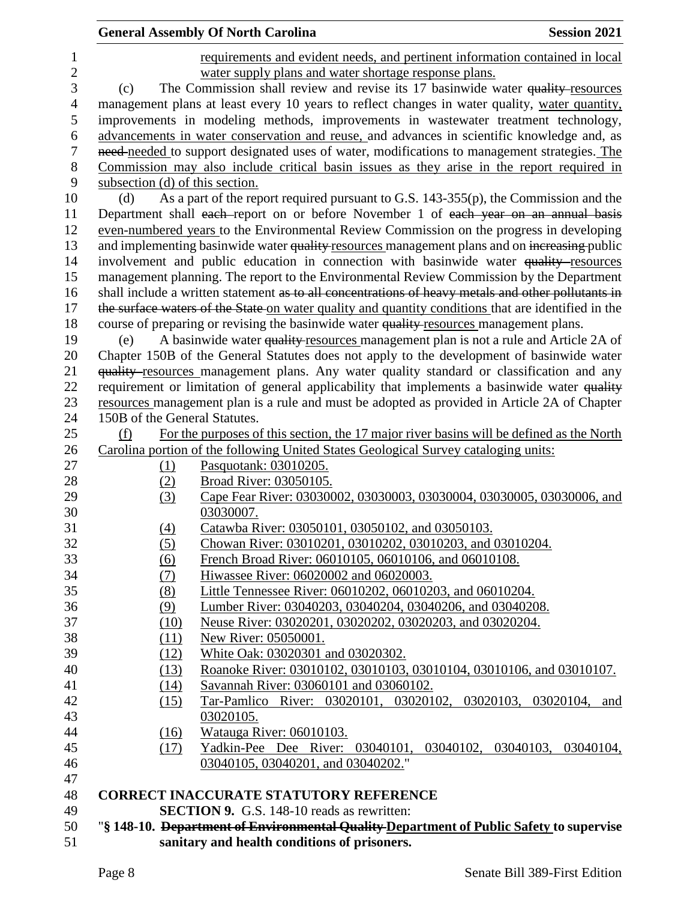|                  | <b>General Assembly Of North Carolina</b><br><b>Session 2021</b>             |                                                                                                          |  |  |
|------------------|------------------------------------------------------------------------------|----------------------------------------------------------------------------------------------------------|--|--|
| 1                | requirements and evident needs, and pertinent information contained in local |                                                                                                          |  |  |
| $\mathbf{2}$     | water supply plans and water shortage response plans.                        |                                                                                                          |  |  |
| 3                |                                                                              | The Commission shall review and revise its 17 basinwide water quality resources<br>(c)                   |  |  |
| $\overline{4}$   |                                                                              | management plans at least every 10 years to reflect changes in water quality, water quantity,            |  |  |
| 5                |                                                                              | improvements in modeling methods, improvements in wastewater treatment technology,                       |  |  |
| 6                |                                                                              | advancements in water conservation and reuse, and advances in scientific knowledge and, as               |  |  |
| $\boldsymbol{7}$ |                                                                              | need-needed to support designated uses of water, modifications to management strategies. The             |  |  |
| $8\,$            |                                                                              | Commission may also include critical basin issues as they arise in the report required in                |  |  |
| 9                | subsection (d) of this section.                                              |                                                                                                          |  |  |
| 10               | (d)                                                                          | As a part of the report required pursuant to G.S. 143-355(p), the Commission and the                     |  |  |
| 11               |                                                                              | Department shall each-report on or before November 1 of each year on an annual basis                     |  |  |
| 12               |                                                                              | even-numbered years to the Environmental Review Commission on the progress in developing                 |  |  |
| 13               |                                                                              | and implementing basinwide water quality resources management plans and on increasing public             |  |  |
| 14               |                                                                              | involvement and public education in connection with basinwide water quality-resources                    |  |  |
| 15               |                                                                              | management planning. The report to the Environmental Review Commission by the Department                 |  |  |
| 16               |                                                                              | shall include a written statement as to all concentrations of heavy metals and other pollutants in       |  |  |
| 17               |                                                                              | the surface waters of the State on water quality and quantity conditions that are identified in the      |  |  |
| 18               |                                                                              | course of preparing or revising the basinwide water quality resources management plans.                  |  |  |
| 19               | (e)                                                                          | A basinwide water quality-resources management plan is not a rule and Article 2A of                      |  |  |
| 20               |                                                                              | Chapter 150B of the General Statutes does not apply to the development of basinwide water                |  |  |
| 21               |                                                                              | quality-resources management plans. Any water quality standard or classification and any                 |  |  |
| 22               |                                                                              | requirement or limitation of general applicability that implements a basinwide water quality             |  |  |
| 23               |                                                                              | resources management plan is a rule and must be adopted as provided in Article 2A of Chapter             |  |  |
| 24               | 150B of the General Statutes.                                                |                                                                                                          |  |  |
| 25               | (f)                                                                          | For the purposes of this section, the 17 major river basins will be defined as the North                 |  |  |
| 26               |                                                                              | Carolina portion of the following United States Geological Survey cataloging units:                      |  |  |
| 27               | <u>(1)</u>                                                                   | Pasquotank: 03010205.                                                                                    |  |  |
| 28               | (2)                                                                          | Broad River: 03050105.                                                                                   |  |  |
| 29               | (3)                                                                          | Cape Fear River: 03030002, 03030003, 03030004, 03030005, 03030006, and                                   |  |  |
| 30               |                                                                              | 03030007.                                                                                                |  |  |
| 31               | (4)                                                                          | Catawba River: 03050101, 03050102, and 03050103.                                                         |  |  |
| 32               | (5)                                                                          | Chowan River: 03010201, 03010202, 03010203, and 03010204.                                                |  |  |
| 33               | (6)                                                                          | French Broad River: 06010105, 06010106, and 06010108.                                                    |  |  |
| 34               | (7)                                                                          | Hiwassee River: 06020002 and 06020003.                                                                   |  |  |
| 35               | (8)                                                                          | Little Tennessee River: 06010202, 06010203, and 06010204.                                                |  |  |
| 36               | (9)                                                                          | Lumber River: 03040203, 03040204, 03040206, and 03040208.                                                |  |  |
| 37               | (10)                                                                         | Neuse River: 03020201, 03020202, 03020203, and 03020204.                                                 |  |  |
| 38               | (11)                                                                         | New River: 05050001.                                                                                     |  |  |
| 39               | (12)                                                                         | White Oak: 03020301 and 03020302.                                                                        |  |  |
| 40               | (13)                                                                         | Roanoke River: 03010102, 03010103, 03010104, 03010106, and 03010107.                                     |  |  |
| 41<br>42         | (14)                                                                         | Savannah River: 03060101 and 03060102.<br>Tar-Pamlico River: 03020101, 03020102, 03020103, 03020104, and |  |  |
| 43               | (15)                                                                         |                                                                                                          |  |  |
|                  |                                                                              | 03020105.                                                                                                |  |  |
| 44<br>45         | (16)<br>(17)                                                                 | Watauga River: 06010103.<br>Yadkin-Pee Dee River: 03040101, 03040102, 03040103, 03040104,                |  |  |
| 46               |                                                                              | 03040105, 03040201, and 03040202."                                                                       |  |  |
| 47               |                                                                              |                                                                                                          |  |  |
| 48               |                                                                              | <b>CORRECT INACCURATE STATUTORY REFERENCE</b>                                                            |  |  |
| 49               |                                                                              | <b>SECTION 9.</b> G.S. 148-10 reads as rewritten:                                                        |  |  |
| 50               |                                                                              | "§ 148-10. Department of Environmental Quality Department of Public Safety to supervise                  |  |  |
| 51               |                                                                              | sanitary and health conditions of prisoners.                                                             |  |  |
|                  |                                                                              |                                                                                                          |  |  |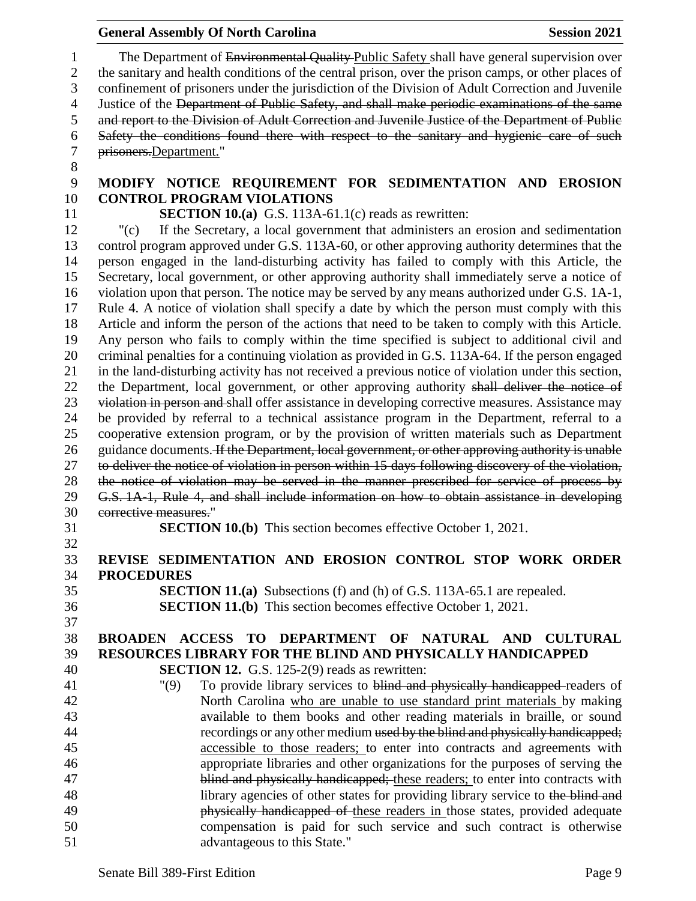## 1 The Department of Environmental Quality Public Safety shall have general supervision over the sanitary and health conditions of the central prison, over the prison camps, or other places of confinement of prisoners under the jurisdiction of the Division of Adult Correction and Juvenile 4 Justice of the Department of Public Safety, and shall make periodic examinations of the same and report to the Division of Adult Correction and Juvenile Justice of the Department of Public Safety the conditions found there with respect to the sanitary and hygienic care of such prisoners.Department." **MODIFY NOTICE REQUIREMENT FOR SEDIMENTATION AND EROSION CONTROL PROGRAM VIOLATIONS SECTION 10.(a)** G.S. 113A-61.1(c) reads as rewritten: "(c) If the Secretary, a local government that administers an erosion and sedimentation control program approved under G.S. 113A-60, or other approving authority determines that the person engaged in the land-disturbing activity has failed to comply with this Article, the Secretary, local government, or other approving authority shall immediately serve a notice of violation upon that person. The notice may be served by any means authorized under G.S. 1A-1, Rule 4. A notice of violation shall specify a date by which the person must comply with this Article and inform the person of the actions that need to be taken to comply with this Article. Any person who fails to comply within the time specified is subject to additional civil and criminal penalties for a continuing violation as provided in G.S. 113A-64. If the person engaged in the land-disturbing activity has not received a previous notice of violation under this section, 22 the Department, local government, or other approving authority shall deliver the notice of 23 violation in person and shall offer assistance in developing corrective measures. Assistance may be provided by referral to a technical assistance program in the Department, referral to a cooperative extension program, or by the provision of written materials such as Department 26 guidance documents. If the Department, local government, or other approving authority is unable to deliver the notice of violation in person within 15 days following discovery of the violation, the notice of violation may be served in the manner prescribed for service of process by G.S. 1A-1, Rule 4, and shall include information on how to obtain assistance in developing corrective measures." **SECTION 10.(b)** This section becomes effective October 1, 2021. **REVISE SEDIMENTATION AND EROSION CONTROL STOP WORK ORDER PROCEDURES SECTION 11.(a)** Subsections (f) and (h) of G.S. 113A-65.1 are repealed. **SECTION 11.(b)** This section becomes effective October 1, 2021. **BROADEN ACCESS TO DEPARTMENT OF NATURAL AND CULTURAL RESOURCES LIBRARY FOR THE BLIND AND PHYSICALLY HANDICAPPED SECTION 12.** G.S. 125-2(9) reads as rewritten: "(9) To provide library services to blind and physically handicapped readers of North Carolina who are unable to use standard print materials by making available to them books and other reading materials in braille, or sound 44 recordings or any other medium used by the blind and physically handicapped; accessible to those readers; to enter into contracts and agreements with appropriate libraries and other organizations for the purposes of serving the 47 blind and physically handicapped; these readers; to enter into contracts with 48 library agencies of other states for providing library service to the blind and **physically handicapped of these readers in those states, provided adequate**  compensation is paid for such service and such contract is otherwise advantageous to this State."

**General Assembly Of North Carolina Session 2021**